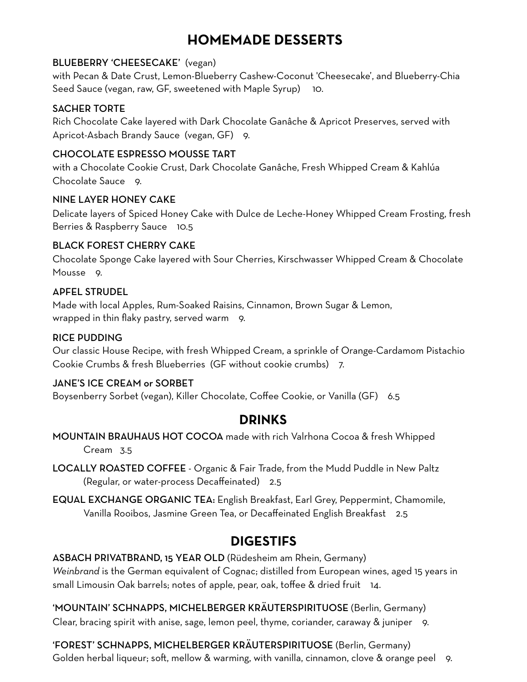## **HOMEMADE DESSERTS**

#### BLUEBERRY 'CHEESECAKE' (vegan)

with Pecan & Date Crust, Lemon-Blueberry Cashew-Coconut 'Cheesecake', and Blueberry-Chia Seed Sauce (vegan, raw, GF, sweetened with Maple Syrup) 10.

#### SACHER TORTE

Rich Chocolate Cake layered with Dark Chocolate Ganâche & Apricot Preserves, served with Apricot-Asbach Brandy Sauce (vegan, GF) 9.

### CHOCOLATE ESPRESSO MOUSSE TART

with a Chocolate Cookie Crust, Dark Chocolate Ganâche, Fresh Whipped Cream & Kahlúa Chocolate Sauce 9.

#### NINE LAYER HONEY CAKE

Delicate layers of Spiced Honey Cake with Dulce de Leche-Honey Whipped Cream Frosting, fresh Berries & Raspberry Sauce 10.5

### BLACK FOREST CHERRY CAKE

Chocolate Sponge Cake layered with Sour Cherries, Kirschwasser Whipped Cream & Chocolate Mousse 9.

### APFEL STRUDEL

Made with local Apples, Rum-Soaked Raisins, Cinnamon, Brown Sugar & Lemon, wrapped in thin flaky pastry, served warm 9.

### RICE PUDDING

Our classic House Recipe, with fresh Whipped Cream, a sprinkle of Orange-Cardamom Pistachio Cookie Crumbs & fresh Blueberries (GF without cookie crumbs) 7.

### JANE'S ICE CREAM or SORBET

Boysenberry Sorbet (vegan), Killer Chocolate, Coffee Cookie, or Vanilla (GF) 6.5

### **DRINKS**

MOUNTAIN BRAUHAUS HOT COCOA made with rich Valrhona Cocoa & fresh Whipped Cream 3.5

LOCALLY ROASTED COFFEE - Organic & Fair Trade, from the Mudd Puddle in New Paltz (Regular, or water-process Decaffeinated) 2.5

EQUAL EXCHANGE ORGANIC TEA: English Breakfast, Earl Grey, Peppermint, Chamomile, Vanilla Rooibos, Jasmine Green Tea, or Decaffeinated English Breakfast 2.5

## **DIGESTIFS**

ASBACH PRIVATBRAND, 15 YEAR OLD (Rüdesheim am Rhein, Germany) *Weinbrand* is the German equivalent of Cognac; distilled from European wines, aged 15 years in small Limousin Oak barrels; notes of apple, pear, oak, toffee & dried fruit 14.

'MOUNTAIN' SCHNAPPS, MICHELBERGER KRÄUTERSPIRITUOSE (Berlin, Germany) Clear, bracing spirit with anise, sage, lemon peel, thyme, coriander, caraway & juniper 9.

'FOREST' SCHNAPPS, MICHELBERGER KRÄUTERSPIRITUOSE (Berlin, Germany) Golden herbal liqueur; soft, mellow & warming, with vanilla, cinnamon, clove & orange peel 9.